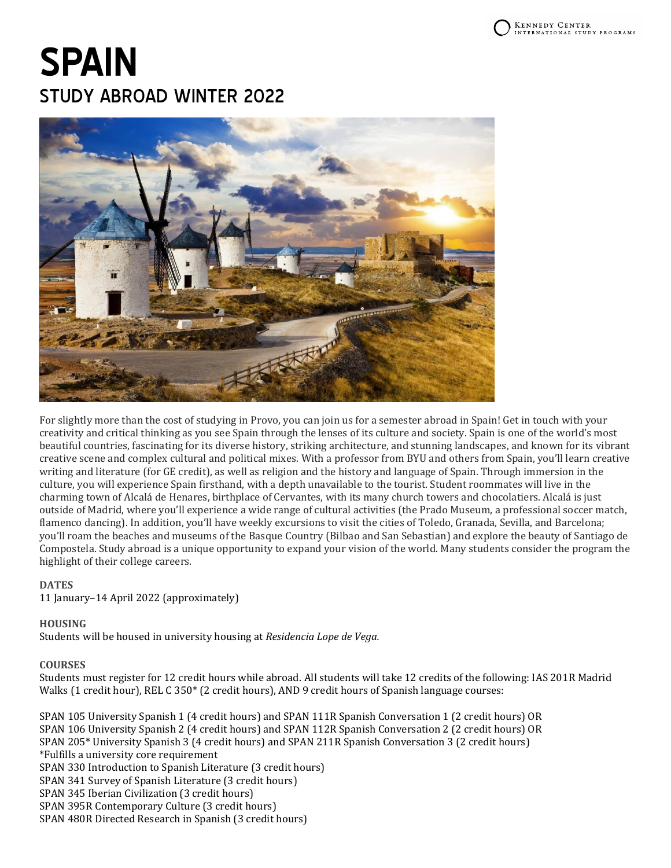# **SPAIN** STUDY ABROAD WINTER 2022



For slightly more than the cost of studying in Provo, you can join us for a semester abroad in Spain! Get in touch with your creativity and critical thinking as you see Spain through the lenses of its culture and society. Spain is one of the world's most beautiful countries, fascinating for its diverse history, striking architecture, and stunning landscapes, and known for its vibrant creative scene and complex cultural and political mixes. With a professor from BYU and others from Spain, you'll learn creative writing and literature (for GE credit), as well as religion and the history and language of Spain. Through immersion in the culture, you will experience Spain firsthand, with a depth unavailable to the tourist. Student roommates will live in the charming town of Alcalá de Henares, birthplace of Cervantes, with its many church towers and chocolatiers. Alcalá is just outside of Madrid, where you'll experience a wide range of cultural activities (the Prado Museum, a professional soccer match, flamenco dancing). In addition, you'll have weekly excursions to visit the cities of Toledo, Granada, Sevilla, and Barcelona; you'll roam the beaches and museums of the Basque Country (Bilbao and San Sebastian) and explore the beauty of Santiago de Compostela. Study abroad is a unique opportunity to expand your vision of the world. Many students consider the program the highlight of their college careers.

# **DATES**

11 January–14 April 2022 (approximately)

#### **HOUSING**

Students will be housed in university housing at *Residencia Lope de Vega.*

#### **COURSES**

Students must register for 12 credit hours while abroad. All students will take 12 credits of the following: IAS 201R Madrid Walks (1 credit hour), REL C 350\* (2 credit hours), AND 9 credit hours of Spanish language courses:

SPAN 105 University Spanish 1 (4 credit hours) and SPAN 111R Spanish Conversation 1 (2 credit hours) OR SPAN 106 University Spanish 2 (4 credit hours) and SPAN 112R Spanish Conversation 2 (2 credit hours) OR SPAN 205\* University Spanish 3 (4 credit hours) and SPAN 211R Spanish Conversation 3 (2 credit hours) \*Fulfills a university core requirement SPAN 330 Introduction to Spanish Literature (3 credit hours) SPAN 341 Survey of Spanish Literature (3 credit hours) SPAN 345 Iberian Civilization (3 credit hours) SPAN 395R Contemporary Culture (3 credit hours) SPAN 480R Directed Research in Spanish (3 credit hours)